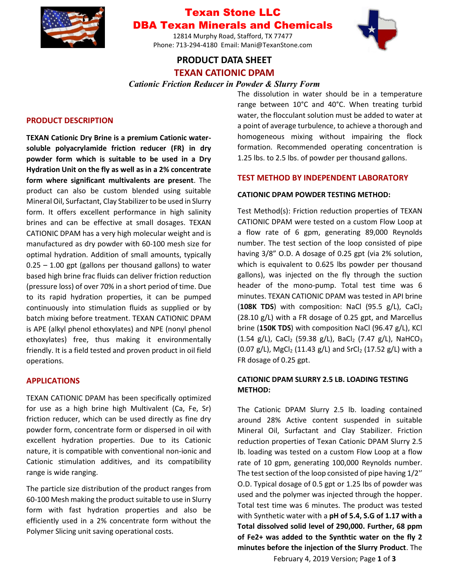

# Texan Stone LLC DBA Texan Minerals and Chemicals

12814 Murphy Road, Stafford, TX 77477 Phone: 713-294-4180 Email: Mani@TexanStone.com



## **PRODUCT DATA SHEET TEXAN CATIONIC DPAM**

## *Cationic Friction Reducer in Powder & Slurry Form*

#### **PRODUCT DESCRIPTION**

**TEXAN Cationic Dry Brine is a premium Cationic watersoluble polyacrylamide friction reducer (FR) in dry powder form which is suitable to be used in a Dry Hydration Unit on the fly as well as in a 2% concentrate form where significant multivalents are present**. The product can also be custom blended using suitable Mineral Oil, Surfactant, Clay Stabilizer to be used in Slurry form. It offers excellent performance in high salinity brines and can be effective at small dosages. TEXAN CATIONIC DPAM has a very high molecular weight and is manufactured as dry powder with 60-100 mesh size for optimal hydration. Addition of small amounts, typically  $0.25 - 1.00$  gpt (gallons per thousand gallons) to water based high brine frac fluids can deliver friction reduction (pressure loss) of over 70% in a short period of time. Due to its rapid hydration properties, it can be pumped continuously into stimulation fluids as supplied or by batch mixing before treatment. TEXAN CATIONIC DPAM is APE (alkyl phenol ethoxylates) and NPE (nonyl phenol ethoxylates) free, thus making it environmentally friendly. It is a field tested and proven product in oil field operations.

### **APPLICATIONS**

TEXAN CATIONIC DPAM has been specifically optimized for use as a high brine high Multivalent (Ca, Fe, Sr) friction reducer, which can be used directly as fine dry powder form, concentrate form or dispersed in oil with excellent hydration properties. Due to its Cationic nature, it is compatible with conventional non-ionic and Cationic stimulation additives, and its compatibility range is wide ranging.

The particle size distribution of the product ranges from 60-100 Mesh making the product suitable to use in Slurry form with fast hydration properties and also be efficiently used in a 2% concentrate form without the Polymer Slicing unit saving operational costs.

The dissolution in water should be in a temperature range between 10°C and 40°C. When treating turbid water, the flocculant solution must be added to water at a point of average turbulence, to achieve a thorough and homogeneous mixing without impairing the flock formation. Recommended operating concentration is 1.25 lbs. to 2.5 lbs. of powder per thousand gallons.

#### **TEST METHOD BY INDEPENDENT LABORATORY**

#### **CATIONIC DPAM POWDER TESTING METHOD:**

Test Method(s): Friction reduction properties of TEXAN CATIONIC DPAM were tested on a custom Flow Loop at a flow rate of 6 gpm, generating 89,000 Reynolds number. The test section of the loop consisted of pipe having 3/8" O.D. A dosage of 0.25 gpt (via 2% solution, which is equivalent to 0.625 lbs powder per thousand gallons), was injected on the fly through the suction header of the mono-pump. Total test time was 6 minutes. TEXAN CATIONIC DPAM was tested in API brine (108K TDS) with composition: NaCl (95.5 g/L), CaCl<sub>2</sub> (28.10 g/L) with a FR dosage of 0.25 gpt, and Marcellus brine (**150K TDS**) with composition NaCl (96.47 g/L), KCl (1.54 g/L), CaCl<sub>2</sub> (59.38 g/L), BaCl<sub>2</sub> (7.47 g/L), NaHCO<sub>3</sub> (0.07 g/L), MgCl<sub>2</sub> (11.43 g/L) and SrCl<sub>2</sub> (17.52 g/L) with a FR dosage of 0.25 gpt.

## **CATIONIC DPAM SLURRY 2.5 LB. LOADING TESTING METHOD:**

The Cationic DPAM Slurry 2.5 lb. loading contained around 28% Active content suspended in suitable Mineral Oil, Surfactant and Clay Stabilizer. Friction reduction properties of Texan Cationic DPAM Slurry 2.5 lb. loading was tested on a custom Flow Loop at a flow rate of 10 gpm, generating 100,000 Reynolds number. The test section of the loop consisted of pipe having 1/2'' O.D. Typical dosage of 0.5 gpt or 1.25 lbs of powder was used and the polymer was injected through the hopper. Total test time was 6 minutes. The product was tested with Synthetic water with a **pH of 5.4, S.G of 1.17 with a Total dissolved solid level of 290,000. Further, 68 ppm of Fe2+ was added to the Synthtic water on the fly 2 minutes before the injection of the Slurry Product**. The

February 4, 2019 Version; Page **1** of **3**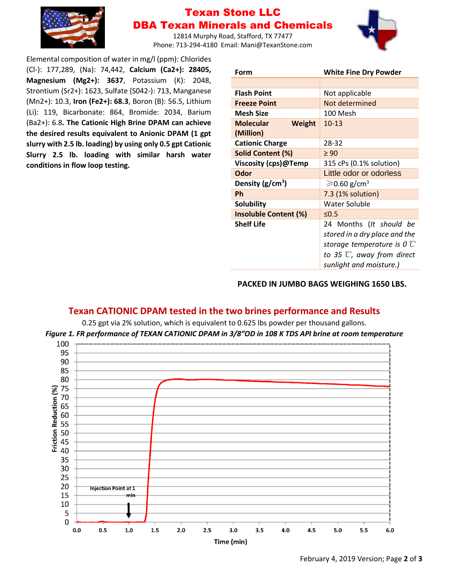

# Texan Stone LLC DBA Texan Minerals and Chemicals

12814 Murphy Road, Stafford, TX 77477 Phone: 713-294-4180 Email: Mani@TexanStone.com



Elemental composition of water in mg/l (ppm): Chlorides (Cl-): 177,289, (Na): 74,442, **Calcium (Ca2+): 28405, Magnesium (Mg2+): 3637**, Potassium (K): 2048, Strontium (Sr2+): 1623, Sulfate (S042-): 713, Manganese (Mn2+): 10.3, **Iron (Fe2+): 68.3**, Boron (B): 56.5, Lithium (Li): 119, Bicarbonate: 864, Bromide: 2034, Barium (Ba2+): 6.8**. The Cationic High Brine DPAM can achieve the desired results equivalent to Anionic DPAM (1 gpt slurry with 2.5 lb. loading) by using only 0.5 gpt Cationic Slurry 2.5 lb. loading with similar harsh water conditions in flow loop testing.**

| Form                              | <b>White Fine Dry Powder</b>          |
|-----------------------------------|---------------------------------------|
|                                   |                                       |
| <b>Flash Point</b>                | Not applicable                        |
| <b>Freeze Point</b>               | Not determined                        |
| <b>Mesh Size</b>                  | 100 Mesh                              |
| <b>Molecular</b><br><b>Weight</b> | $10-13$                               |
| (Million)                         |                                       |
| <b>Cationic Charge</b>            | 28-32                                 |
| Solid Content (%)                 | $\geq 90$                             |
| Viscosity (cps)@Temp              | 315 cPs (0.1% solution)               |
| Odor                              | Little odor or odorless               |
| Density $(g/cm^3)$                | $\geqslant$ 0.60 g/cm <sup>3</sup>    |
| Ph                                | 7.3 (1% solution)                     |
| <b>Solubility</b>                 | Water Soluble                         |
| <b>Insoluble Content (%)</b>      | $\leq 0.5$                            |
| <b>Shelf Life</b>                 | 24 Months (It should be               |
|                                   | stored in a dry place and the         |
|                                   | storage temperature is 0 $\mathbb C$  |
|                                   | to 35 $\mathbb{C}$ , away from direct |
|                                   | sunlight and moisture.)               |

### **PACKED IN JUMBO BAGS WEIGHING 1650 LBS.**

## **Texan CATIONIC DPAM tested in the two brines performance and Results**

0.25 gpt via 2% solution, which is equivalent to 0.625 lbs powder per thousand gallons. *Figure 1. FR performance of TEXAN CATIONIC DPAM in 3/8"OD in 108 K TDS API brine at room temperature*